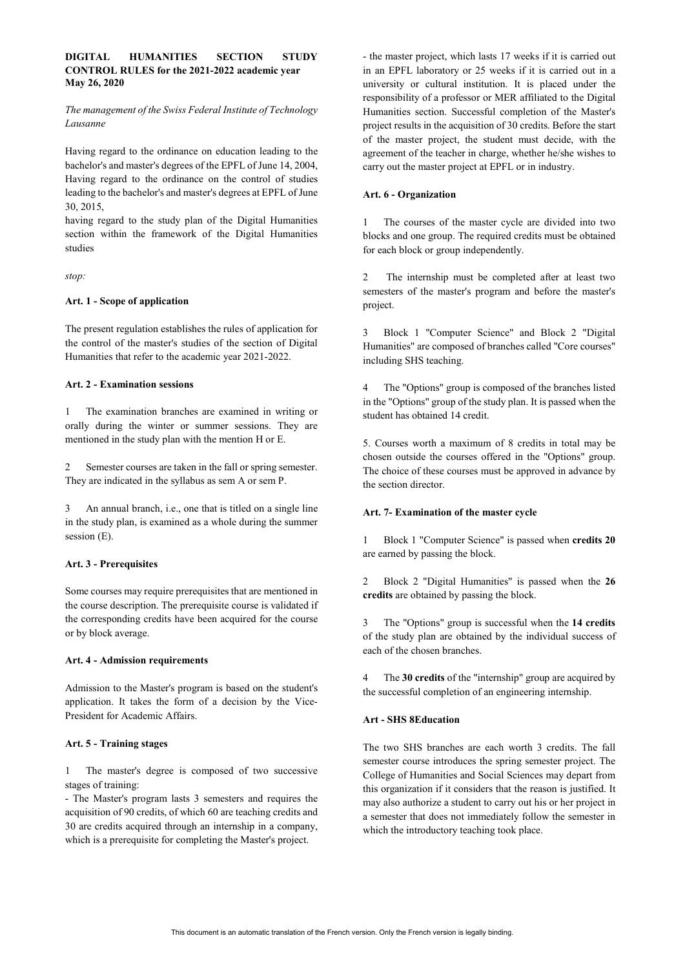## **DIGITAL HUMANITIES SECTION STUDY CONTROL RULES for the 2021-2022 academic year May 26, 2020**

*The management of the Swiss Federal Institute of Technology Lausanne*

Having regard to the ordinance on education leading to the bachelor's and master's degrees of the EPFL of June 14, 2004, Having regard to the ordinance on the control of studies leading to the bachelor's and master's degrees at EPFL of June 30, 2015,

having regard to the study plan of the Digital Humanities section within the framework of the Digital Humanities studies

*stop:*

### **Art. 1 - Scope of application**

The present regulation establishes the rules of application for the control of the master's studies of the section of Digital Humanities that refer to the academic year 2021-2022.

## **Art. 2 - Examination sessions**

1 The examination branches are examined in writing or orally during the winter or summer sessions. They are mentioned in the study plan with the mention H or E.

2 Semester courses are taken in the fall or spring semester. They are indicated in the syllabus as sem A or sem P.

3 An annual branch, i.e., one that is titled on a single line in the study plan, is examined as a whole during the summer session (E).

#### **Art. 3 - Prerequisites**

Some courses may require prerequisites that are mentioned in the course description. The prerequisite course is validated if the corresponding credits have been acquired for the course or by block average.

## **Art. 4 - Admission requirements**

Admission to the Master's program is based on the student's application. It takes the form of a decision by the Vice-President for Academic Affairs.

## **Art. 5 - Training stages**

1 The master's degree is composed of two successive stages of training:

- The Master's program lasts 3 semesters and requires the acquisition of 90 credits, of which 60 are teaching credits and 30 are credits acquired through an internship in a company, which is a prerequisite for completing the Master's project.

- the master project, which lasts 17 weeks if it is carried out in an EPFL laboratory or 25 weeks if it is carried out in a university or cultural institution. It is placed under the responsibility of a professor or MER affiliated to the Digital Humanities section. Successful completion of the Master's project results in the acquisition of 30 credits. Before the start of the master project, the student must decide, with the agreement of the teacher in charge, whether he/she wishes to carry out the master project at EPFL or in industry.

### **Art. 6 - Organization**

1 The courses of the master cycle are divided into two blocks and one group. The required credits must be obtained for each block or group independently.

2 The internship must be completed after at least two semesters of the master's program and before the master's project.

3 Block 1 "Computer Science" and Block 2 "Digital Humanities" are composed of branches called "Core courses" including SHS teaching.

4 The "Options" group is composed of the branches listed in the "Options" group of the study plan. It is passed when the student has obtained 14 credit.

5. Courses worth a maximum of 8 credits in total may be chosen outside the courses offered in the "Options" group. The choice of these courses must be approved in advance by the section director.

#### **Art. 7- Examination of the master cycle**

1 Block 1 "Computer Science" is passed when **credits 20** are earned by passing the block.

2 Block 2 "Digital Humanities" is passed when the **26 credits** are obtained by passing the block.

3 The "Options" group is successful when the **14 credits**  of the study plan are obtained by the individual success of each of the chosen branches.

4 The **30 credits** of the "internship" group are acquired by the successful completion of an engineering internship.

#### **Art - SHS 8Education**

The two SHS branches are each worth 3 credits. The fall semester course introduces the spring semester project. The College of Humanities and Social Sciences may depart from this organization if it considers that the reason is justified. It may also authorize a student to carry out his or her project in a semester that does not immediately follow the semester in which the introductory teaching took place.